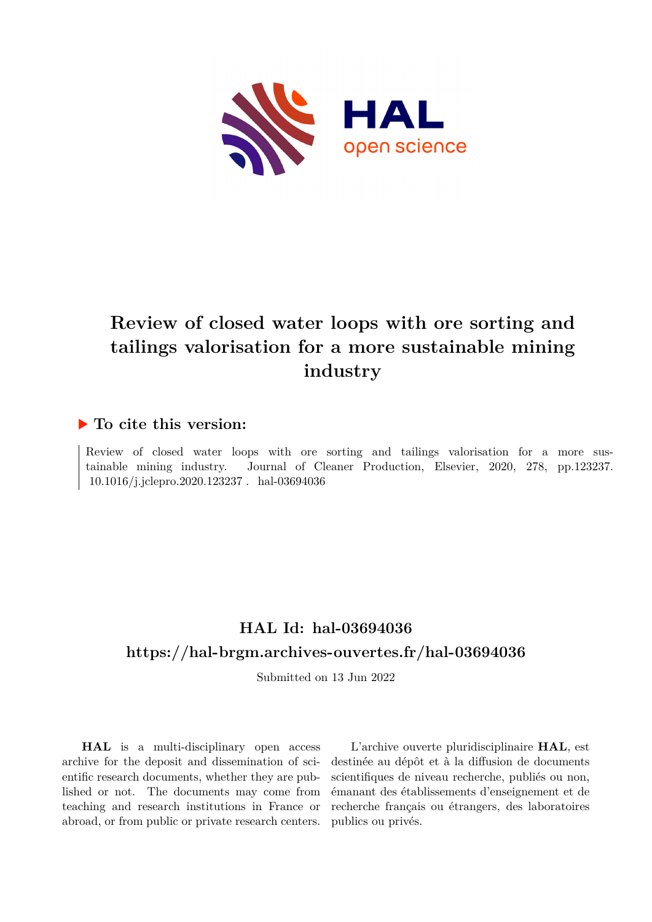

# **Review of closed water loops with ore sorting and tailings valorisation for a more sustainable mining industry**

## **To cite this version:**

Review of closed water loops with ore sorting and tailings valorisation for a more sustainable mining industry. Journal of Cleaner Production, Elsevier, 2020, 278, pp.123237. 10.1016/j.jclepro.2020.123237 hal-03694036

# **HAL Id: hal-03694036 <https://hal-brgm.archives-ouvertes.fr/hal-03694036>**

Submitted on 13 Jun 2022

**HAL** is a multi-disciplinary open access archive for the deposit and dissemination of scientific research documents, whether they are published or not. The documents may come from teaching and research institutions in France or abroad, or from public or private research centers.

L'archive ouverte pluridisciplinaire **HAL**, est destinée au dépôt et à la diffusion de documents scientifiques de niveau recherche, publiés ou non, émanant des établissements d'enseignement et de recherche français ou étrangers, des laboratoires publics ou privés.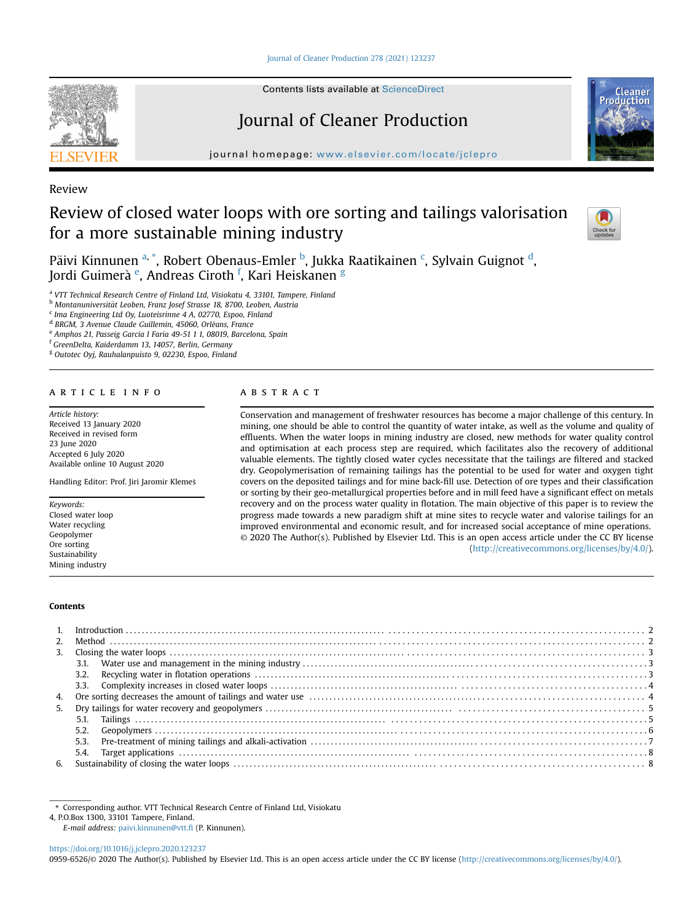[Journal of Cleaner Production 278 \(2021\) 123237](https://doi.org/10.1016/j.jclepro.2020.123237)



Contents lists available at ScienceDirect

## Journal of Cleaner Production

journal homepage: [www.elsevier.com/locate/jclepro](http://www.elsevier.com/locate/jclepro)



# Review of closed water loops with ore sorting and tailings valorisation for a more sustainable mining industry



Päivi Kinnunen <sup>a, \*</sup>, Robert Obenaus-Emler <sup>b</sup>, Jukka Raatikainen <sup>c</sup>, Sylvain Guignot <sup>d</sup>, Jordi Guimerà <sup>e</sup>, Andreas Ciroth <sup>f</sup>, Kari Heiskanen <sup>g</sup>

a VTT Technical Research Centre of Finland Ltd, Visiokatu 4, 33101, Tampere, Finland

b Montanuniversität Leoben, Franz Josef Strasse 18, 8700, Leoben, Austria

<sup>c</sup> Ima Engineering Ltd Oy, Luoteisrinne 4 A, 02770, Espoo, Finland

<sup>d</sup> BRGM, 3 Avenue Claude Guillemin, 45060, Orleans, France

<sup>e</sup> Amphos 21, Passeig Garcia I Faria 49-51 1 1, 08019, Barcelona, Spain

<sup>f</sup> GreenDelta, Kaiderdamm 13, 14057, Berlin, Germany

<sup>g</sup> Outotec Oyj, Rauhalanpuisto 9, 02230, Espoo, Finland

## article info

Article history: Received 13 January 2020 Received in revised form 23 June 2020 Accepted 6 July 2020 Available online 10 August 2020

Handling Editor: Prof. Jiri Jaromir Klemes

Keywords: Closed water loop Water recycling Geopolymer Ore sorting Sustainability Mining industry

## **ABSTRACT**

Conservation and management of freshwater resources has become a major challenge of this century. In mining, one should be able to control the quantity of water intake, as well as the volume and quality of effluents. When the water loops in mining industry are closed, new methods for water quality control and optimisation at each process step are required, which facilitates also the recovery of additional valuable elements. The tightly closed water cycles necessitate that the tailings are filtered and stacked dry. Geopolymerisation of remaining tailings has the potential to be used for water and oxygen tight covers on the deposited tailings and for mine back-fill use. Detection of ore types and their classification or sorting by their geo-metallurgical properties before and in mill feed have a significant effect on metals recovery and on the process water quality in flotation. The main objective of this paper is to review the progress made towards a new paradigm shift at mine sites to recycle water and valorise tailings for an improved environmental and economic result, and for increased social acceptance of mine operations. © 2020 The Author(s). Published by Elsevier Ltd. This is an open access article under the CC BY license [\(http://creativecommons.org/licenses/by/4.0/](http://creativecommons.org/licenses/by/4.0/)).

## Contents

| 5. |  |
|----|--|
|    |  |
|    |  |
|    |  |
|    |  |
|    |  |

4, P.O.Box 1300, 33101 Tampere, Finland.

E-mail address: [paivi.kinnunen@vtt.](mailto:paivi.kinnunen@vtt.fi)fi (P. Kinnunen).

0959-6526/© 2020 The Author(s). Published by Elsevier Ltd. This is an open access article under the CC BY license (<http://creativecommons.org/licenses/by/4.0/>).

Corresponding author. VTT Technical Research Centre of Finland Ltd, Visiokatu

<https://doi.org/10.1016/j.jclepro.2020.123237>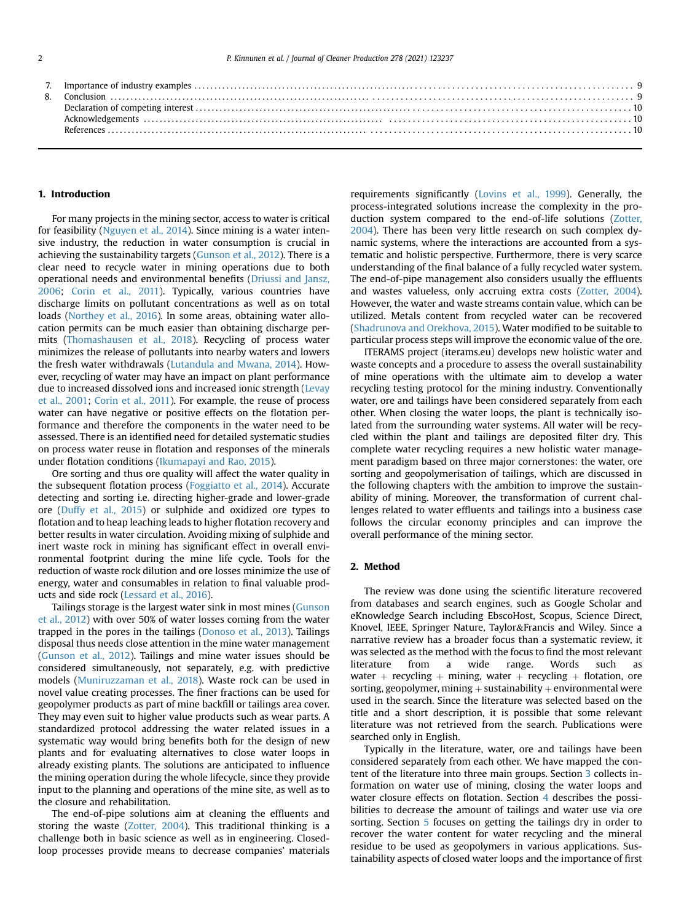## 1. Introduction

For many projects in the mining sector, access to water is critical for feasibility (Nguyen et al., 2014). Since mining is a water intensive industry, the reduction in water consumption is crucial in achieving the sustainability targets (Gunson et al., 2012). There is a clear need to recycle water in mining operations due to both operational needs and environmental benefits (Driussi and Jansz, 2006; Corin et al., 2011). Typically, various countries have discharge limits on pollutant concentrations as well as on total loads (Northey et al., 2016). In some areas, obtaining water allocation permits can be much easier than obtaining discharge permits (Thomashausen et al., 2018). Recycling of process water minimizes the release of pollutants into nearby waters and lowers the fresh water withdrawals (Lutandula and Mwana, 2014). However, recycling of water may have an impact on plant performance due to increased dissolved ions and increased ionic strength (Levay et al., 2001; Corin et al., 2011). For example, the reuse of process water can have negative or positive effects on the flotation performance and therefore the components in the water need to be assessed. There is an identified need for detailed systematic studies on process water reuse in flotation and responses of the minerals under flotation conditions (Ikumapayi and Rao, 2015).

Ore sorting and thus ore quality will affect the water quality in the subsequent flotation process (Foggiatto et al., 2014). Accurate detecting and sorting i.e. directing higher-grade and lower-grade ore (Duffy et al., 2015) or sulphide and oxidized ore types to flotation and to heap leaching leads to higher flotation recovery and better results in water circulation. Avoiding mixing of sulphide and inert waste rock in mining has significant effect in overall environmental footprint during the mine life cycle. Tools for the reduction of waste rock dilution and ore losses minimize the use of energy, water and consumables in relation to final valuable products and side rock (Lessard et al., 2016).

Tailings storage is the largest water sink in most mines (Gunson et al., 2012) with over 50% of water losses coming from the water trapped in the pores in the tailings (Donoso et al., 2013). Tailings disposal thus needs close attention in the mine water management (Gunson et al., 2012). Tailings and mine water issues should be considered simultaneously, not separately, e.g. with predictive models (Muniruzzaman et al., 2018). Waste rock can be used in novel value creating processes. The finer fractions can be used for geopolymer products as part of mine backfill or tailings area cover. They may even suit to higher value products such as wear parts. A standardized protocol addressing the water related issues in a systematic way would bring benefits both for the design of new plants and for evaluating alternatives to close water loops in already existing plants. The solutions are anticipated to influence the mining operation during the whole lifecycle, since they provide input to the planning and operations of the mine site, as well as to the closure and rehabilitation.

The end-of-pipe solutions aim at cleaning the effluents and storing the waste (Zotter, 2004). This traditional thinking is a challenge both in basic science as well as in engineering. Closedloop processes provide means to decrease companies' materials requirements significantly (Lovins et al., 1999). Generally, the process-integrated solutions increase the complexity in the production system compared to the end-of-life solutions (Zotter, 2004). There has been very little research on such complex dynamic systems, where the interactions are accounted from a systematic and holistic perspective. Furthermore, there is very scarce understanding of the final balance of a fully recycled water system. The end-of-pipe management also considers usually the effluents and wastes valueless, only accruing extra costs (Zotter, 2004). However, the water and waste streams contain value, which can be utilized. Metals content from recycled water can be recovered (Shadrunova and Orekhova, 2015). Water modified to be suitable to particular process steps will improve the economic value of the ore.

ITERAMS project (iterams.eu) develops new holistic water and waste concepts and a procedure to assess the overall sustainability of mine operations with the ultimate aim to develop a water recycling testing protocol for the mining industry. Conventionally water, ore and tailings have been considered separately from each other. When closing the water loops, the plant is technically isolated from the surrounding water systems. All water will be recycled within the plant and tailings are deposited filter dry. This complete water recycling requires a new holistic water management paradigm based on three major cornerstones: the water, ore sorting and geopolymerisation of tailings, which are discussed in the following chapters with the ambition to improve the sustainability of mining. Moreover, the transformation of current challenges related to water effluents and tailings into a business case follows the circular economy principles and can improve the overall performance of the mining sector.

## 2. Method

The review was done using the scientific literature recovered from databases and search engines, such as Google Scholar and eKnowledge Search including EbscoHost, Scopus, Science Direct, Knovel, IEEE, Springer Nature, Taylor&Francis and Wiley. Since a narrative review has a broader focus than a systematic review, it was selected as the method with the focus to find the most relevant literature from a wide range. Words such as water + recycling + mining, water + recycling + flotation, ore sorting, geopolymer, mining  $+$  sustainability  $+$  environmental were used in the search. Since the literature was selected based on the title and a short description, it is possible that some relevant literature was not retrieved from the search. Publications were searched only in English.

Typically in the literature, water, ore and tailings have been considered separately from each other. We have mapped the content of the literature into three main groups. Section 3 collects information on water use of mining, closing the water loops and water closure effects on flotation. Section 4 describes the possibilities to decrease the amount of tailings and water use via ore sorting. Section 5 focuses on getting the tailings dry in order to recover the water content for water recycling and the mineral residue to be used as geopolymers in various applications. Sustainability aspects of closed water loops and the importance of first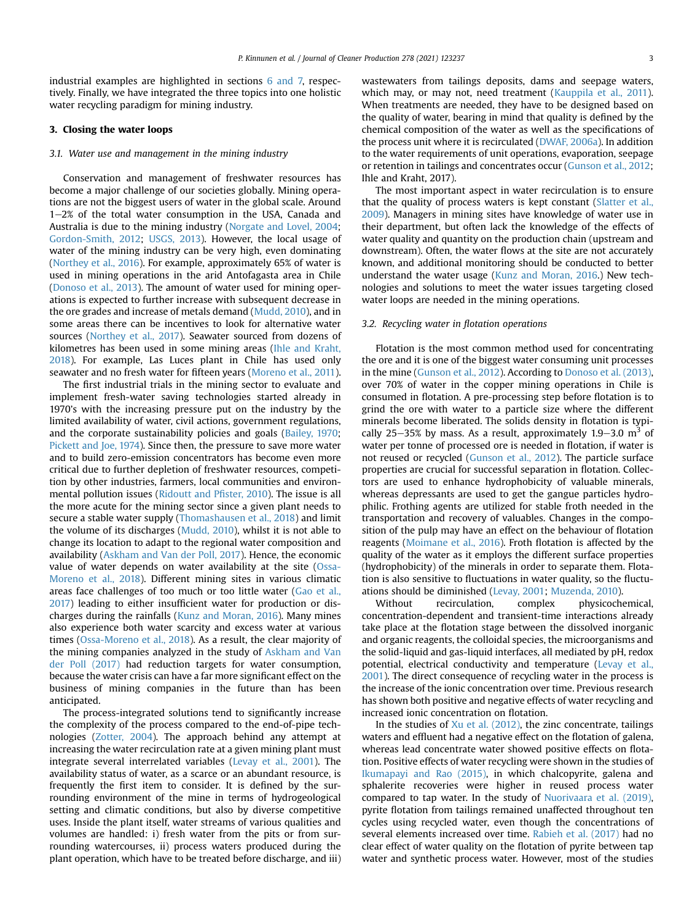industrial examples are highlighted in sections 6 and 7, respectively. Finally, we have integrated the three topics into one holistic water recycling paradigm for mining industry.

## 3. Closing the water loops

## 3.1. Water use and management in the mining industry

Conservation and management of freshwater resources has become a major challenge of our societies globally. Mining operations are not the biggest users of water in the global scale. Around  $1-2%$  of the total water consumption in the USA, Canada and Australia is due to the mining industry (Norgate and Lovel, 2004; Gordon-Smith, 2012; USGS, 2013). However, the local usage of water of the mining industry can be very high, even dominating (Northey et al., 2016). For example, approximately 65% of water is used in mining operations in the arid Antofagasta area in Chile (Donoso et al., 2013). The amount of water used for mining operations is expected to further increase with subsequent decrease in the ore grades and increase of metals demand (Mudd, 2010), and in some areas there can be incentives to look for alternative water sources (Northey et al., 2017). Seawater sourced from dozens of kilometres has been used in some mining areas (Ihle and Kraht, 2018). For example, Las Luces plant in Chile has used only seawater and no fresh water for fifteen years (Moreno et al., 2011).

The first industrial trials in the mining sector to evaluate and implement fresh-water saving technologies started already in 1970's with the increasing pressure put on the industry by the limited availability of water, civil actions, government regulations, and the corporate sustainability policies and goals (Bailey, 1970; Pickett and Joe, 1974). Since then, the pressure to save more water and to build zero-emission concentrators has become even more critical due to further depletion of freshwater resources, competition by other industries, farmers, local communities and environmental pollution issues (Ridoutt and Pfister, 2010). The issue is all the more acute for the mining sector since a given plant needs to secure a stable water supply (Thomashausen et al., 2018) and limit the volume of its discharges (Mudd, 2010), whilst it is not able to change its location to adapt to the regional water composition and availability (Askham and Van der Poll, 2017). Hence, the economic value of water depends on water availability at the site (Ossa-Moreno et al., 2018). Different mining sites in various climatic areas face challenges of too much or too little water (Gao et al., 2017) leading to either insufficient water for production or discharges during the rainfalls (Kunz and Moran, 2016). Many mines also experience both water scarcity and excess water at various times (Ossa-Moreno et al., 2018). As a result, the clear majority of the mining companies analyzed in the study of Askham and Van der Poll (2017) had reduction targets for water consumption, because the water crisis can have a far more significant effect on the business of mining companies in the future than has been anticipated.

The process-integrated solutions tend to significantly increase the complexity of the process compared to the end-of-pipe technologies (Zotter, 2004). The approach behind any attempt at increasing the water recirculation rate at a given mining plant must integrate several interrelated variables (Levay et al., 2001). The availability status of water, as a scarce or an abundant resource, is frequently the first item to consider. It is defined by the surrounding environment of the mine in terms of hydrogeological setting and climatic conditions, but also by diverse competitive uses. Inside the plant itself, water streams of various qualities and volumes are handled: i) fresh water from the pits or from surrounding watercourses, ii) process waters produced during the plant operation, which have to be treated before discharge, and iii)

wastewaters from tailings deposits, dams and seepage waters, which may, or may not, need treatment (Kauppila et al., 2011). When treatments are needed, they have to be designed based on the quality of water, bearing in mind that quality is defined by the chemical composition of the water as well as the specifications of the process unit where it is recirculated (DWAF, 2006a). In addition to the water requirements of unit operations, evaporation, seepage or retention in tailings and concentrates occur (Gunson et al., 2012; Ihle and Kraht, 2017).

The most important aspect in water recirculation is to ensure that the quality of process waters is kept constant (Slatter et al., 2009). Managers in mining sites have knowledge of water use in their department, but often lack the knowledge of the effects of water quality and quantity on the production chain (upstream and downstream). Often, the water flows at the site are not accurately known, and additional monitoring should be conducted to better understand the water usage (Kunz and Moran, 2016.) New technologies and solutions to meet the water issues targeting closed water loops are needed in the mining operations.

#### 3.2. Recycling water in flotation operations

Flotation is the most common method used for concentrating the ore and it is one of the biggest water consuming unit processes in the mine (Gunson et al., 2012). According to Donoso et al. (2013), over 70% of water in the copper mining operations in Chile is consumed in flotation. A pre-processing step before flotation is to grind the ore with water to a particle size where the different minerals become liberated. The solids density in flotation is typically 25–35% by mass. As a result, approximately  $1.9-3.0$  m<sup>3</sup> of water per tonne of processed ore is needed in flotation, if water is not reused or recycled (Gunson et al., 2012). The particle surface properties are crucial for successful separation in flotation. Collectors are used to enhance hydrophobicity of valuable minerals, whereas depressants are used to get the gangue particles hydrophilic. Frothing agents are utilized for stable froth needed in the transportation and recovery of valuables. Changes in the composition of the pulp may have an effect on the behaviour of flotation reagents (Moimane et al., 2016). Froth flotation is affected by the quality of the water as it employs the different surface properties (hydrophobicity) of the minerals in order to separate them. Flotation is also sensitive to fluctuations in water quality, so the fluctuations should be diminished (Levay, 2001; Muzenda, 2010).

Without recirculation, complex physicochemical, concentration-dependent and transient-time interactions already take place at the flotation stage between the dissolved inorganic and organic reagents, the colloidal species, the microorganisms and the solid-liquid and gas-liquid interfaces, all mediated by pH, redox potential, electrical conductivity and temperature (Levay et al., 2001). The direct consequence of recycling water in the process is the increase of the ionic concentration over time. Previous research has shown both positive and negative effects of water recycling and increased ionic concentration on flotation.

In the studies of Xu et al. (2012), the zinc concentrate, tailings waters and effluent had a negative effect on the flotation of galena, whereas lead concentrate water showed positive effects on flotation. Positive effects of water recycling were shown in the studies of Ikumapayi and Rao (2015), in which chalcopyrite, galena and sphalerite recoveries were higher in reused process water compared to tap water. In the study of Nuorivaara et al. (2019), pyrite flotation from tailings remained unaffected throughout ten cycles using recycled water, even though the concentrations of several elements increased over time. Rabieh et al. (2017) had no clear effect of water quality on the flotation of pyrite between tap water and synthetic process water. However, most of the studies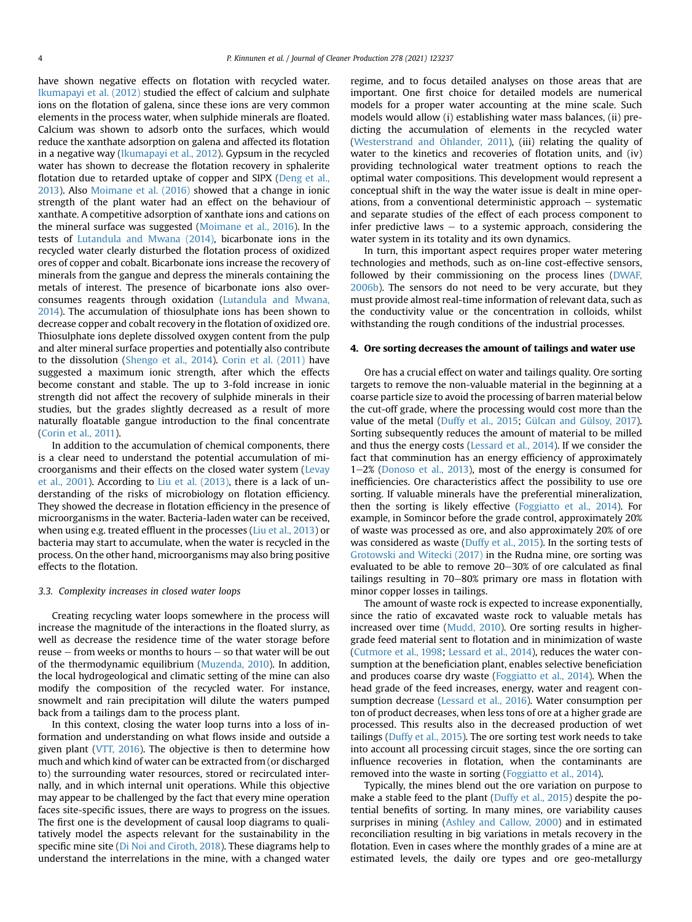have shown negative effects on flotation with recycled water. Ikumapayi et al. (2012) studied the effect of calcium and sulphate ions on the flotation of galena, since these ions are very common elements in the process water, when sulphide minerals are floated. Calcium was shown to adsorb onto the surfaces, which would reduce the xanthate adsorption on galena and affected its flotation in a negative way (Ikumapayi et al., 2012). Gypsum in the recycled water has shown to decrease the flotation recovery in sphalerite flotation due to retarded uptake of copper and SIPX (Deng et al., 2013). Also Moimane et al. (2016) showed that a change in ionic strength of the plant water had an effect on the behaviour of xanthate. A competitive adsorption of xanthate ions and cations on the mineral surface was suggested (Moimane et al., 2016). In the tests of Lutandula and Mwana (2014), bicarbonate ions in the recycled water clearly disturbed the flotation process of oxidized ores of copper and cobalt. Bicarbonate ions increase the recovery of minerals from the gangue and depress the minerals containing the metals of interest. The presence of bicarbonate ions also overconsumes reagents through oxidation (Lutandula and Mwana, 2014). The accumulation of thiosulphate ions has been shown to decrease copper and cobalt recovery in the flotation of oxidized ore. Thiosulphate ions deplete dissolved oxygen content from the pulp and alter mineral surface properties and potentially also contribute to the dissolution (Shengo et al., 2014). Corin et al. (2011) have suggested a maximum ionic strength, after which the effects become constant and stable. The up to 3-fold increase in ionic strength did not affect the recovery of sulphide minerals in their studies, but the grades slightly decreased as a result of more naturally floatable gangue introduction to the final concentrate (Corin et al., 2011).

In addition to the accumulation of chemical components, there is a clear need to understand the potential accumulation of microorganisms and their effects on the closed water system (Levay et al., 2001). According to Liu et al. (2013), there is a lack of understanding of the risks of microbiology on flotation efficiency. They showed the decrease in flotation efficiency in the presence of microorganisms in the water. Bacteria-laden water can be received, when using e.g. treated effluent in the processes (Liu et al., 2013) or bacteria may start to accumulate, when the water is recycled in the process. On the other hand, microorganisms may also bring positive effects to the flotation.

#### 3.3. Complexity increases in closed water loops

Creating recycling water loops somewhere in the process will increase the magnitude of the interactions in the floated slurry, as well as decrease the residence time of the water storage before reuse  $-$  from weeks or months to hours  $-$  so that water will be out of the thermodynamic equilibrium (Muzenda, 2010). In addition, the local hydrogeological and climatic setting of the mine can also modify the composition of the recycled water. For instance, snowmelt and rain precipitation will dilute the waters pumped back from a tailings dam to the process plant.

In this context, closing the water loop turns into a loss of information and understanding on what flows inside and outside a given plant (VTT, 2016). The objective is then to determine how much and which kind of water can be extracted from (or discharged to) the surrounding water resources, stored or recirculated internally, and in which internal unit operations. While this objective may appear to be challenged by the fact that every mine operation faces site-specific issues, there are ways to progress on the issues. The first one is the development of causal loop diagrams to qualitatively model the aspects relevant for the sustainability in the specific mine site (Di Noi and Ciroth, 2018). These diagrams help to understand the interrelations in the mine, with a changed water regime, and to focus detailed analyses on those areas that are important. One first choice for detailed models are numerical models for a proper water accounting at the mine scale. Such models would allow (i) establishing water mass balances, (ii) predicting the accumulation of elements in the recycled water (Westerstrand and Öhlander, 2011), (iii) relating the quality of water to the kinetics and recoveries of flotation units, and (iv) providing technological water treatment options to reach the optimal water compositions. This development would represent a conceptual shift in the way the water issue is dealt in mine operations, from a conventional deterministic approach  $-$  systematic and separate studies of the effect of each process component to infer predictive laws  $-$  to a systemic approach, considering the water system in its totality and its own dynamics.

In turn, this important aspect requires proper water metering technologies and methods, such as on-line cost-effective sensors, followed by their commissioning on the process lines (DWAF, 2006b). The sensors do not need to be very accurate, but they must provide almost real-time information of relevant data, such as the conductivity value or the concentration in colloids, whilst withstanding the rough conditions of the industrial processes.

#### 4. Ore sorting decreases the amount of tailings and water use

Ore has a crucial effect on water and tailings quality. Ore sorting targets to remove the non-valuable material in the beginning at a coarse particle size to avoid the processing of barren material below the cut-off grade, where the processing would cost more than the value of the metal (Duffy et al., 2015; Gülcan and Gülsoy, 2017). Sorting subsequently reduces the amount of material to be milled and thus the energy costs (Lessard et al., 2014). If we consider the fact that comminution has an energy efficiency of approximately  $1-2\%$  (Donoso et al., 2013), most of the energy is consumed for inefficiencies. Ore characteristics affect the possibility to use ore sorting. If valuable minerals have the preferential mineralization, then the sorting is likely effective (Foggiatto et al., 2014). For example, in Somincor before the grade control, approximately 20% of waste was processed as ore, and also approximately 20% of ore was considered as waste (Duffy et al., 2015). In the sorting tests of Grotowski and Witecki (2017) in the Rudna mine, ore sorting was evaluated to be able to remove  $20-30\%$  of ore calculated as final tailings resulting in  $70-80%$  primary ore mass in flotation with minor copper losses in tailings.

The amount of waste rock is expected to increase exponentially, since the ratio of excavated waste rock to valuable metals has increased over time (Mudd, 2010). Ore sorting results in highergrade feed material sent to flotation and in minimization of waste (Cutmore et al., 1998; Lessard et al., 2014), reduces the water consumption at the beneficiation plant, enables selective beneficiation and produces coarse dry waste (Foggiatto et al., 2014). When the head grade of the feed increases, energy, water and reagent consumption decrease (Lessard et al., 2016). Water consumption per ton of product decreases, when less tons of ore at a higher grade are processed. This results also in the decreased production of wet tailings (Duffy et al., 2015). The ore sorting test work needs to take into account all processing circuit stages, since the ore sorting can influence recoveries in flotation, when the contaminants are removed into the waste in sorting (Foggiatto et al., 2014).

Typically, the mines blend out the ore variation on purpose to make a stable feed to the plant (Duffy et al., 2015) despite the potential benefits of sorting. In many mines, ore variability causes surprises in mining (Ashley and Callow, 2000) and in estimated reconciliation resulting in big variations in metals recovery in the flotation. Even in cases where the monthly grades of a mine are at estimated levels, the daily ore types and ore geo-metallurgy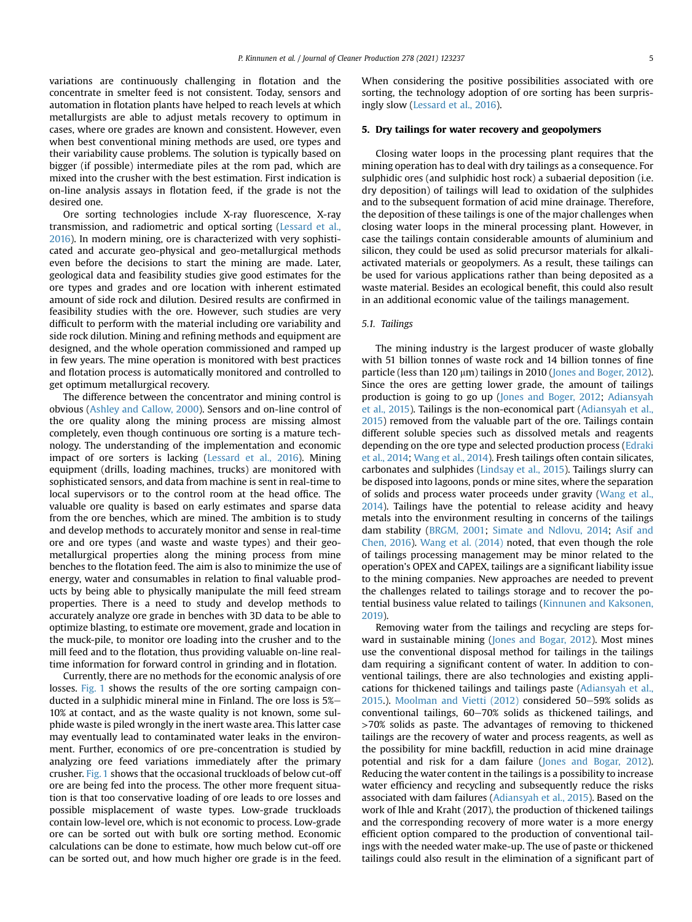variations are continuously challenging in flotation and the concentrate in smelter feed is not consistent. Today, sensors and automation in flotation plants have helped to reach levels at which metallurgists are able to adjust metals recovery to optimum in cases, where ore grades are known and consistent. However, even when best conventional mining methods are used, ore types and their variability cause problems. The solution is typically based on bigger (if possible) intermediate piles at the rom pad, which are mixed into the crusher with the best estimation. First indication is on-line analysis assays in flotation feed, if the grade is not the desired one.

Ore sorting technologies include X-ray fluorescence, X-ray transmission, and radiometric and optical sorting (Lessard et al., 2016). In modern mining, ore is characterized with very sophisticated and accurate geo-physical and geo-metallurgical methods even before the decisions to start the mining are made. Later, geological data and feasibility studies give good estimates for the ore types and grades and ore location with inherent estimated amount of side rock and dilution. Desired results are confirmed in feasibility studies with the ore. However, such studies are very difficult to perform with the material including ore variability and side rock dilution. Mining and refining methods and equipment are designed, and the whole operation commissioned and ramped up in few years. The mine operation is monitored with best practices and flotation process is automatically monitored and controlled to get optimum metallurgical recovery.

The difference between the concentrator and mining control is obvious (Ashley and Callow, 2000). Sensors and on-line control of the ore quality along the mining process are missing almost completely, even though continuous ore sorting is a mature technology. The understanding of the implementation and economic impact of ore sorters is lacking (Lessard et al., 2016). Mining equipment (drills, loading machines, trucks) are monitored with sophisticated sensors, and data from machine is sent in real-time to local supervisors or to the control room at the head office. The valuable ore quality is based on early estimates and sparse data from the ore benches, which are mined. The ambition is to study and develop methods to accurately monitor and sense in real-time ore and ore types (and waste and waste types) and their geometallurgical properties along the mining process from mine benches to the flotation feed. The aim is also to minimize the use of energy, water and consumables in relation to final valuable products by being able to physically manipulate the mill feed stream properties. There is a need to study and develop methods to accurately analyze ore grade in benches with 3D data to be able to optimize blasting, to estimate ore movement, grade and location in the muck-pile, to monitor ore loading into the crusher and to the mill feed and to the flotation, thus providing valuable on-line realtime information for forward control in grinding and in flotation.

Currently, there are no methods for the economic analysis of ore losses. Fig. 1 shows the results of the ore sorting campaign conducted in a sulphidic mineral mine in Finland. The ore loss is 5%– 10% at contact, and as the waste quality is not known, some sulphide waste is piled wrongly in the inert waste area. This latter case may eventually lead to contaminated water leaks in the environment. Further, economics of ore pre-concentration is studied by analyzing ore feed variations immediately after the primary crusher. Fig. 1 shows that the occasional truckloads of below cut-off ore are being fed into the process. The other more frequent situation is that too conservative loading of ore leads to ore losses and possible misplacement of waste types. Low-grade truckloads contain low-level ore, which is not economic to process. Low-grade ore can be sorted out with bulk ore sorting method. Economic calculations can be done to estimate, how much below cut-off ore can be sorted out, and how much higher ore grade is in the feed. When considering the positive possibilities associated with ore sorting, the technology adoption of ore sorting has been surprisingly slow (Lessard et al., 2016).

## 5. Dry tailings for water recovery and geopolymers

Closing water loops in the processing plant requires that the mining operation has to deal with dry tailings as a consequence. For sulphidic ores (and sulphidic host rock) a subaerial deposition (i.e. dry deposition) of tailings will lead to oxidation of the sulphides and to the subsequent formation of acid mine drainage. Therefore, the deposition of these tailings is one of the major challenges when closing water loops in the mineral processing plant. However, in case the tailings contain considerable amounts of aluminium and silicon, they could be used as solid precursor materials for alkaliactivated materials or geopolymers. As a result, these tailings can be used for various applications rather than being deposited as a waste material. Besides an ecological benefit, this could also result in an additional economic value of the tailings management.

#### 5.1. Tailings

The mining industry is the largest producer of waste globally with 51 billion tonnes of waste rock and 14 billion tonnes of fine particle (less than 120 µm) tailings in 2010 (Jones and Boger, 2012). Since the ores are getting lower grade, the amount of tailings production is going to go up (Jones and Boger, 2012; Adiansyah et al., 2015). Tailings is the non-economical part (Adiansyah et al., 2015) removed from the valuable part of the ore. Tailings contain different soluble species such as dissolved metals and reagents depending on the ore type and selected production process (Edraki et al., 2014; Wang et al., 2014). Fresh tailings often contain silicates, carbonates and sulphides (Lindsay et al., 2015). Tailings slurry can be disposed into lagoons, ponds or mine sites, where the separation of solids and process water proceeds under gravity (Wang et al., 2014). Tailings have the potential to release acidity and heavy metals into the environment resulting in concerns of the tailings dam stability (BRGM, 2001; Simate and Ndlovu, 2014; Asif and Chen, 2016). Wang et al. (2014) noted, that even though the role of tailings processing management may be minor related to the operation's OPEX and CAPEX, tailings are a significant liability issue to the mining companies. New approaches are needed to prevent the challenges related to tailings storage and to recover the potential business value related to tailings (Kinnunen and Kaksonen, 2019).

Removing water from the tailings and recycling are steps forward in sustainable mining (Jones and Bogar, 2012). Most mines use the conventional disposal method for tailings in the tailings dam requiring a significant content of water. In addition to conventional tailings, there are also technologies and existing applications for thickened tailings and tailings paste (Adiansyah et al., 2015.). Moolman and Vietti  $(2012)$  considered 50-59% solids as conventional tailings,  $60-70\%$  solids as thickened tailings, and >70% solids as paste. The advantages of removing to thickened tailings are the recovery of water and process reagents, as well as the possibility for mine backfill, reduction in acid mine drainage potential and risk for a dam failure (Jones and Bogar, 2012). Reducing the water content in the tailings is a possibility to increase water efficiency and recycling and subsequently reduce the risks associated with dam failures (Adiansyah et al., 2015). Based on the work of Ihle and Kraht (2017), the production of thickened tailings and the corresponding recovery of more water is a more energy efficient option compared to the production of conventional tailings with the needed water make-up. The use of paste or thickened tailings could also result in the elimination of a significant part of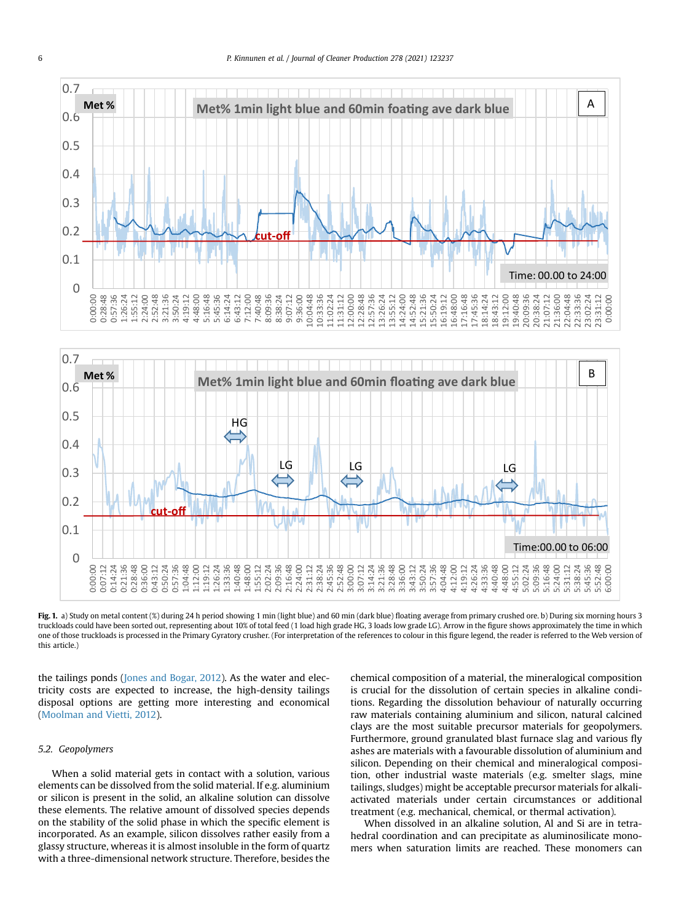



Fig. 1. a) Study on metal content (%) during 24 h period showing 1 min (light blue) and 60 min (dark blue) floating average from primary crushed ore. b) During six morning hours 3 truckloads could have been sorted out, representing about 10% of total feed (1 load high grade HG, 3 loads low grade LG). Arrow in the figure shows approximately the time in which one of those truckloads is processed in the Primary Gyratory crusher. (For interpretation of the references to colour in this figure legend, the reader is referred to the Web version of this article.)

the tailings ponds (Jones and Bogar, 2012). As the water and electricity costs are expected to increase, the high-density tailings disposal options are getting more interesting and economical (Moolman and Vietti, 2012).

## 5.2. Geopolymers

When a solid material gets in contact with a solution, various elements can be dissolved from the solid material. If e.g. aluminium or silicon is present in the solid, an alkaline solution can dissolve these elements. The relative amount of dissolved species depends on the stability of the solid phase in which the specific element is incorporated. As an example, silicon dissolves rather easily from a glassy structure, whereas it is almost insoluble in the form of quartz with a three-dimensional network structure. Therefore, besides the chemical composition of a material, the mineralogical composition is crucial for the dissolution of certain species in alkaline conditions. Regarding the dissolution behaviour of naturally occurring raw materials containing aluminium and silicon, natural calcined clays are the most suitable precursor materials for geopolymers. Furthermore, ground granulated blast furnace slag and various fly ashes are materials with a favourable dissolution of aluminium and silicon. Depending on their chemical and mineralogical composition, other industrial waste materials (e.g. smelter slags, mine tailings, sludges) might be acceptable precursor materials for alkaliactivated materials under certain circumstances or additional treatment (e.g. mechanical, chemical, or thermal activation).

When dissolved in an alkaline solution, Al and Si are in tetrahedral coordination and can precipitate as aluminosilicate monomers when saturation limits are reached. These monomers can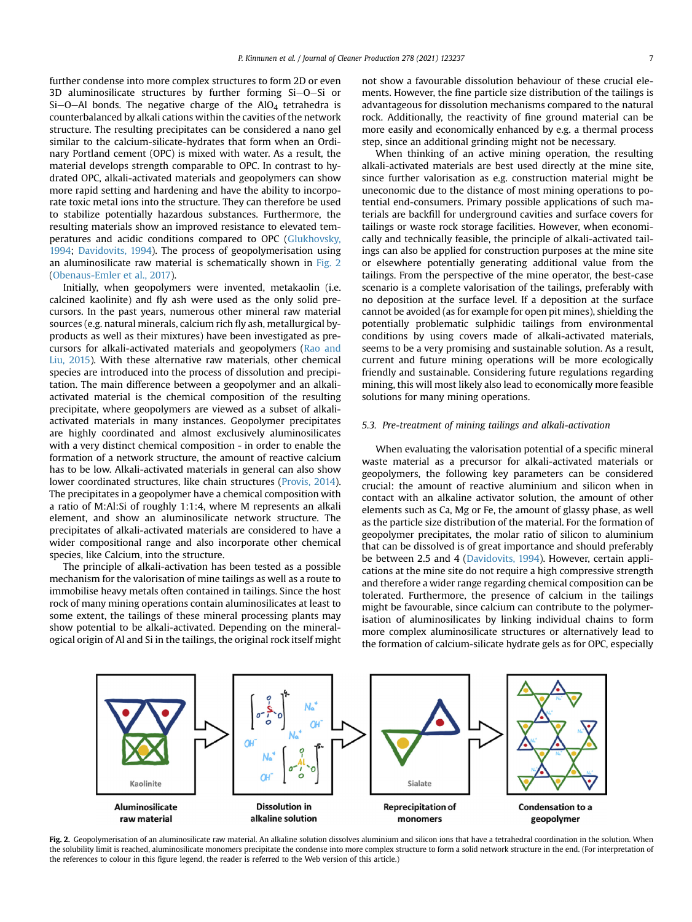further condense into more complex structures to form 2D or even 3D aluminosilicate structures by further forming  $Si-O-Si$  or Si-O-Al bonds. The negative charge of the  $AlO<sub>4</sub>$  tetrahedra is counterbalanced by alkali cations within the cavities of the network structure. The resulting precipitates can be considered a nano gel similar to the calcium-silicate-hydrates that form when an Ordinary Portland cement (OPC) is mixed with water. As a result, the material develops strength comparable to OPC. In contrast to hydrated OPC, alkali-activated materials and geopolymers can show more rapid setting and hardening and have the ability to incorporate toxic metal ions into the structure. They can therefore be used to stabilize potentially hazardous substances. Furthermore, the resulting materials show an improved resistance to elevated temperatures and acidic conditions compared to OPC (Glukhovsky, 1994; Davidovits, 1994). The process of geopolymerisation using an aluminosilicate raw material is schematically shown in Fig. 2 (Obenaus-Emler et al., 2017).

Initially, when geopolymers were invented, metakaolin (i.e. calcined kaolinite) and fly ash were used as the only solid precursors. In the past years, numerous other mineral raw material sources (e.g. natural minerals, calcium rich fly ash, metallurgical byproducts as well as their mixtures) have been investigated as precursors for alkali-activated materials and geopolymers (Rao and Liu, 2015). With these alternative raw materials, other chemical species are introduced into the process of dissolution and precipitation. The main difference between a geopolymer and an alkaliactivated material is the chemical composition of the resulting precipitate, where geopolymers are viewed as a subset of alkaliactivated materials in many instances. Geopolymer precipitates are highly coordinated and almost exclusively aluminosilicates with a very distinct chemical composition - in order to enable the formation of a network structure, the amount of reactive calcium has to be low. Alkali-activated materials in general can also show lower coordinated structures, like chain structures (Provis, 2014). The precipitates in a geopolymer have a chemical composition with a ratio of M:Al:Si of roughly 1:1:4, where M represents an alkali element, and show an aluminosilicate network structure. The precipitates of alkali-activated materials are considered to have a wider compositional range and also incorporate other chemical species, like Calcium, into the structure.

The principle of alkali-activation has been tested as a possible mechanism for the valorisation of mine tailings as well as a route to immobilise heavy metals often contained in tailings. Since the host rock of many mining operations contain aluminosilicates at least to some extent, the tailings of these mineral processing plants may show potential to be alkali-activated. Depending on the mineralogical origin of Al and Si in the tailings, the original rock itself might not show a favourable dissolution behaviour of these crucial elements. However, the fine particle size distribution of the tailings is advantageous for dissolution mechanisms compared to the natural rock. Additionally, the reactivity of fine ground material can be more easily and economically enhanced by e.g. a thermal process step, since an additional grinding might not be necessary.

When thinking of an active mining operation, the resulting alkali-activated materials are best used directly at the mine site, since further valorisation as e.g. construction material might be uneconomic due to the distance of most mining operations to potential end-consumers. Primary possible applications of such materials are backfill for underground cavities and surface covers for tailings or waste rock storage facilities. However, when economically and technically feasible, the principle of alkali-activated tailings can also be applied for construction purposes at the mine site or elsewhere potentially generating additional value from the tailings. From the perspective of the mine operator, the best-case scenario is a complete valorisation of the tailings, preferably with no deposition at the surface level. If a deposition at the surface cannot be avoided (as for example for open pit mines), shielding the potentially problematic sulphidic tailings from environmental conditions by using covers made of alkali-activated materials, seems to be a very promising and sustainable solution. As a result, current and future mining operations will be more ecologically friendly and sustainable. Considering future regulations regarding mining, this will most likely also lead to economically more feasible solutions for many mining operations.

## 5.3. Pre-treatment of mining tailings and alkali-activation

When evaluating the valorisation potential of a specific mineral waste material as a precursor for alkali-activated materials or geopolymers, the following key parameters can be considered crucial: the amount of reactive aluminium and silicon when in contact with an alkaline activator solution, the amount of other elements such as Ca, Mg or Fe, the amount of glassy phase, as well as the particle size distribution of the material. For the formation of geopolymer precipitates, the molar ratio of silicon to aluminium that can be dissolved is of great importance and should preferably be between 2.5 and 4 (Davidovits, 1994). However, certain applications at the mine site do not require a high compressive strength and therefore a wider range regarding chemical composition can be tolerated. Furthermore, the presence of calcium in the tailings might be favourable, since calcium can contribute to the polymerisation of aluminosilicates by linking individual chains to form more complex aluminosilicate structures or alternatively lead to the formation of calcium-silicate hydrate gels as for OPC, especially



Fig. 2. Geopolymerisation of an aluminosilicate raw material. An alkaline solution dissolves aluminium and silicon ions that have a tetrahedral coordination in the solution. When the solubility limit is reached, aluminosilicate monomers precipitate the condense into more complex structure to form a solid network structure in the end. (For interpretation of the references to colour in this figure legend, the reader is referred to the Web version of this article.)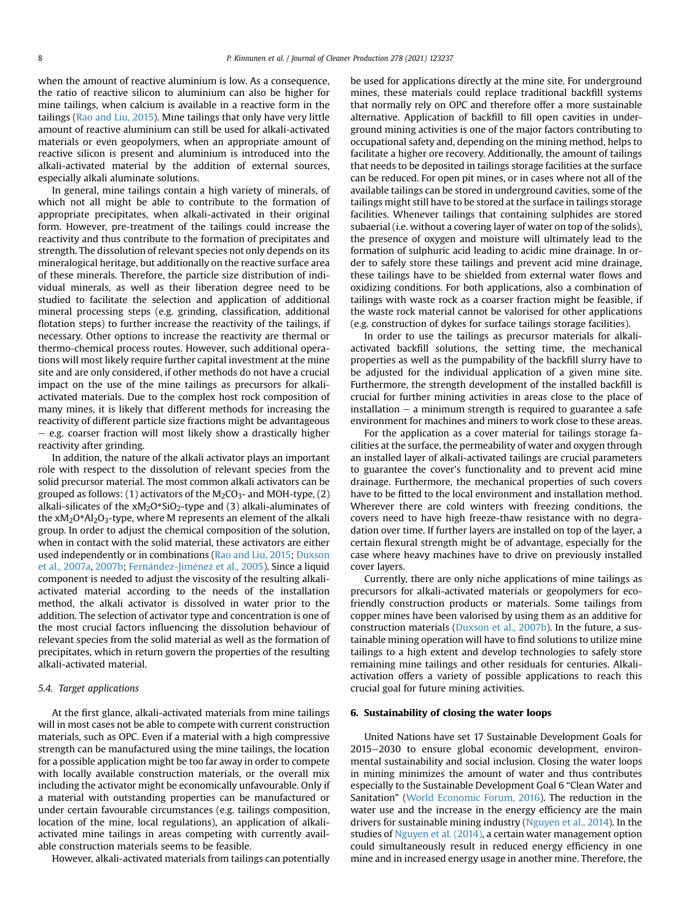when the amount of reactive aluminium is low. As a consequence, the ratio of reactive silicon to aluminium can also be higher for mine tailings, when calcium is available in a reactive form in the tailings (Rao and Liu, 2015). Mine tailings that only have very little amount of reactive aluminium can still be used for alkali-activated materials or even geopolymers, when an appropriate amount of reactive silicon is present and aluminium is introduced into the alkali-activated material by the addition of external sources, especially alkali aluminate solutions.

In general, mine tailings contain a high variety of minerals, of which not all might be able to contribute to the formation of appropriate precipitates, when alkali-activated in their original form. However, pre-treatment of the tailings could increase the reactivity and thus contribute to the formation of precipitates and strength. The dissolution of relevant species not only depends on its mineralogical heritage, but additionally on the reactive surface area of these minerals. Therefore, the particle size distribution of individual minerals, as well as their liberation degree need to be studied to facilitate the selection and application of additional mineral processing steps (e.g. grinding, classification, additional flotation steps) to further increase the reactivity of the tailings, if necessary. Other options to increase the reactivity are thermal or thermo-chemical process routes. However, such additional operations will most likely require further capital investment at the mine site and are only considered, if other methods do not have a crucial impact on the use of the mine tailings as precursors for alkaliactivated materials. Due to the complex host rock composition of many mines, it is likely that different methods for increasing the reactivity of different particle size fractions might be advantageous  $-$  e.g. coarser fraction will most likely show a drastically higher reactivity after grinding.

In addition, the nature of the alkali activator plays an important role with respect to the dissolution of relevant species from the solid precursor material. The most common alkali activators can be grouped as follows: (1) activators of the  $M_2CO_3$ - and MOH-type, (2) alkali-silicates of the  $xM_2O*SiO_2$ -type and (3) alkali-aluminates of the  $xM_2O^*Al_2O_3$ -type, where M represents an element of the alkali group. In order to adjust the chemical composition of the solution, when in contact with the solid material, these activators are either used independently or in combinations (Rao and Liu, 2015; Duxson et al., 2007a, 2007b; Fernández-Jiménez et al., 2005). Since a liquid component is needed to adjust the viscosity of the resulting alkaliactivated material according to the needs of the installation method, the alkali activator is dissolved in water prior to the addition. The selection of activator type and concentration is one of the most crucial factors influencing the dissolution behaviour of relevant species from the solid material as well as the formation of precipitates, which in return govern the properties of the resulting alkali-activated material.

## 5.4. Target applications

At the first glance, alkali-activated materials from mine tailings will in most cases not be able to compete with current construction materials, such as OPC. Even if a material with a high compressive strength can be manufactured using the mine tailings, the location for a possible application might be too far away in order to compete with locally available construction materials, or the overall mix including the activator might be economically unfavourable. Only if a material with outstanding properties can be manufactured or under certain favourable circumstances (e.g. tailings composition, location of the mine, local regulations), an application of alkaliactivated mine tailings in areas competing with currently available construction materials seems to be feasible.

However, alkali-activated materials from tailings can potentially

be used for applications directly at the mine site. For underground mines, these materials could replace traditional backfill systems that normally rely on OPC and therefore offer a more sustainable alternative. Application of backfill to fill open cavities in underground mining activities is one of the major factors contributing to occupational safety and, depending on the mining method, helps to facilitate a higher ore recovery. Additionally, the amount of tailings that needs to be deposited in tailings storage facilities at the surface can be reduced. For open pit mines, or in cases where not all of the available tailings can be stored in underground cavities, some of the tailings might still have to be stored at the surface in tailings storage facilities. Whenever tailings that containing sulphides are stored subaerial (i.e. without a covering layer of water on top of the solids), the presence of oxygen and moisture will ultimately lead to the formation of sulphuric acid leading to acidic mine drainage. In order to safely store these tailings and prevent acid mine drainage, these tailings have to be shielded from external water flows and oxidizing conditions. For both applications, also a combination of tailings with waste rock as a coarser fraction might be feasible, if the waste rock material cannot be valorised for other applications (e.g. construction of dykes for surface tailings storage facilities).

In order to use the tailings as precursor materials for alkaliactivated backfill solutions, the setting time, the mechanical properties as well as the pumpability of the backfill slurry have to be adjusted for the individual application of a given mine site. Furthermore, the strength development of the installed backfill is crucial for further mining activities in areas close to the place of installation  $-$  a minimum strength is required to guarantee a safe environment for machines and miners to work close to these areas.

For the application as a cover material for tailings storage facilities at the surface, the permeability of water and oxygen through an installed layer of alkali-activated tailings are crucial parameters to guarantee the cover's functionality and to prevent acid mine drainage. Furthermore, the mechanical properties of such covers have to be fitted to the local environment and installation method. Wherever there are cold winters with freezing conditions, the covers need to have high freeze-thaw resistance with no degradation over time. If further layers are installed on top of the layer, a certain flexural strength might be of advantage, especially for the case where heavy machines have to drive on previously installed cover layers.

Currently, there are only niche applications of mine tailings as precursors for alkali-activated materials or geopolymers for ecofriendly construction products or materials. Some tailings from copper mines have been valorised by using them as an additive for construction materials (Duxson et al., 2007b). In the future, a sustainable mining operation will have to find solutions to utilize mine tailings to a high extent and develop technologies to safely store remaining mine tailings and other residuals for centuries. Alkaliactivation offers a variety of possible applications to reach this crucial goal for future mining activities.

## 6. Sustainability of closing the water loops

United Nations have set 17 Sustainable Development Goals for 2015-2030 to ensure global economic development, environmental sustainability and social inclusion. Closing the water loops in mining minimizes the amount of water and thus contributes especially to the Sustainable Development Goal 6 "Clean Water and Sanitation" (World Economic Forum, 2016). The reduction in the water use and the increase in the energy efficiency are the main drivers for sustainable mining industry (Nguyen et al., 2014). In the studies of Nguyen et al. (2014), a certain water management option could simultaneously result in reduced energy efficiency in one mine and in increased energy usage in another mine. Therefore, the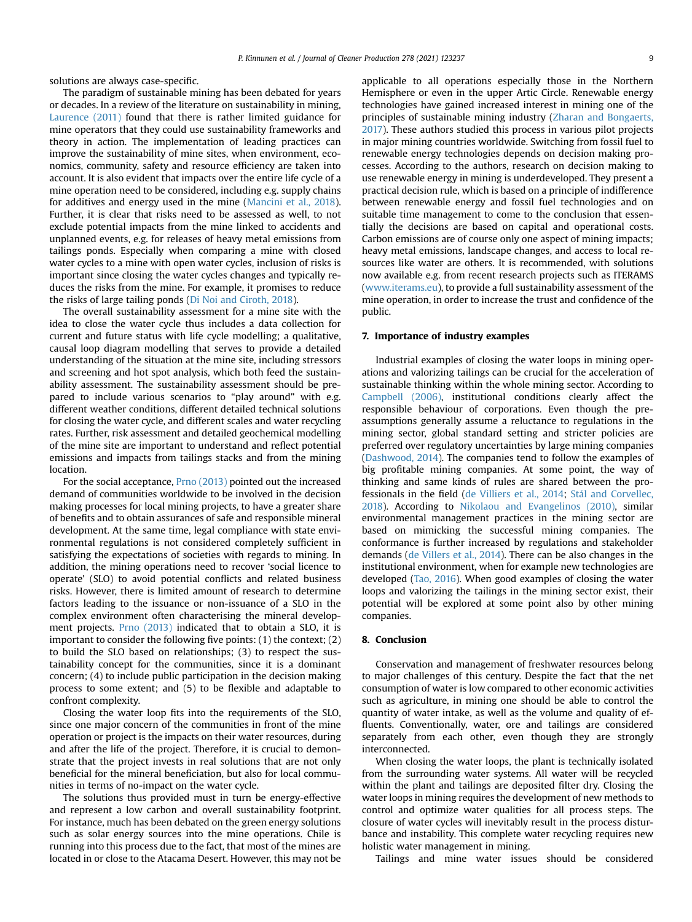solutions are always case-specific.

The paradigm of sustainable mining has been debated for years or decades. In a review of the literature on sustainability in mining, Laurence (2011) found that there is rather limited guidance for mine operators that they could use sustainability frameworks and theory in action. The implementation of leading practices can improve the sustainability of mine sites, when environment, economics, community, safety and resource efficiency are taken into account. It is also evident that impacts over the entire life cycle of a mine operation need to be considered, including e.g. supply chains for additives and energy used in the mine (Mancini et al., 2018). Further, it is clear that risks need to be assessed as well, to not exclude potential impacts from the mine linked to accidents and unplanned events, e.g. for releases of heavy metal emissions from tailings ponds. Especially when comparing a mine with closed water cycles to a mine with open water cycles, inclusion of risks is important since closing the water cycles changes and typically reduces the risks from the mine. For example, it promises to reduce the risks of large tailing ponds (Di Noi and Ciroth, 2018).

The overall sustainability assessment for a mine site with the idea to close the water cycle thus includes a data collection for current and future status with life cycle modelling; a qualitative, causal loop diagram modelling that serves to provide a detailed understanding of the situation at the mine site, including stressors and screening and hot spot analysis, which both feed the sustainability assessment. The sustainability assessment should be prepared to include various scenarios to "play around" with e.g. different weather conditions, different detailed technical solutions for closing the water cycle, and different scales and water recycling rates. Further, risk assessment and detailed geochemical modelling of the mine site are important to understand and reflect potential emissions and impacts from tailings stacks and from the mining location.

For the social acceptance, Prno (2013) pointed out the increased demand of communities worldwide to be involved in the decision making processes for local mining projects, to have a greater share of benefits and to obtain assurances of safe and responsible mineral development. At the same time, legal compliance with state environmental regulations is not considered completely sufficient in satisfying the expectations of societies with regards to mining. In addition, the mining operations need to recover 'social licence to operate' (SLO) to avoid potential conflicts and related business risks. However, there is limited amount of research to determine factors leading to the issuance or non-issuance of a SLO in the complex environment often characterising the mineral development projects. Prno (2013) indicated that to obtain a SLO, it is important to consider the following five points: (1) the context; (2) to build the SLO based on relationships; (3) to respect the sustainability concept for the communities, since it is a dominant concern; (4) to include public participation in the decision making process to some extent; and (5) to be flexible and adaptable to confront complexity.

Closing the water loop fits into the requirements of the SLO, since one major concern of the communities in front of the mine operation or project is the impacts on their water resources, during and after the life of the project. Therefore, it is crucial to demonstrate that the project invests in real solutions that are not only beneficial for the mineral beneficiation, but also for local communities in terms of no-impact on the water cycle.

The solutions thus provided must in turn be energy-effective and represent a low carbon and overall sustainability footprint. For instance, much has been debated on the green energy solutions such as solar energy sources into the mine operations. Chile is running into this process due to the fact, that most of the mines are located in or close to the Atacama Desert. However, this may not be applicable to all operations especially those in the Northern Hemisphere or even in the upper Artic Circle. Renewable energy technologies have gained increased interest in mining one of the principles of sustainable mining industry (Zharan and Bongaerts, 2017). These authors studied this process in various pilot projects in major mining countries worldwide. Switching from fossil fuel to renewable energy technologies depends on decision making processes. According to the authors, research on decision making to use renewable energy in mining is underdeveloped. They present a practical decision rule, which is based on a principle of indifference between renewable energy and fossil fuel technologies and on suitable time management to come to the conclusion that essentially the decisions are based on capital and operational costs. Carbon emissions are of course only one aspect of mining impacts; heavy metal emissions, landscape changes, and access to local resources like water are others. It is recommended, with solutions now available e.g. from recent research projects such as ITERAMS ([www.iterams.eu\)](http://www.iterams.eu), to provide a full sustainability assessment of the mine operation, in order to increase the trust and confidence of the public.

#### 7. Importance of industry examples

Industrial examples of closing the water loops in mining operations and valorizing tailings can be crucial for the acceleration of sustainable thinking within the whole mining sector. According to Campbell (2006), institutional conditions clearly affect the responsible behaviour of corporations. Even though the preassumptions generally assume a reluctance to regulations in the mining sector, global standard setting and stricter policies are preferred over regulatory uncertainties by large mining companies (Dashwood, 2014). The companies tend to follow the examples of big profitable mining companies. At some point, the way of thinking and same kinds of rules are shared between the professionals in the field (de Villiers et al., 2014; Stål and Corvellec, 2018). According to Nikolaou and Evangelinos (2010), similar environmental management practices in the mining sector are based on mimicking the successful mining companies. The conformance is further increased by regulations and stakeholder demands (de Villers et al., 2014). There can be also changes in the institutional environment, when for example new technologies are developed (Tao, 2016). When good examples of closing the water loops and valorizing the tailings in the mining sector exist, their potential will be explored at some point also by other mining companies.

## 8. Conclusion

Conservation and management of freshwater resources belong to major challenges of this century. Despite the fact that the net consumption of water is low compared to other economic activities such as agriculture, in mining one should be able to control the quantity of water intake, as well as the volume and quality of effluents. Conventionally, water, ore and tailings are considered separately from each other, even though they are strongly interconnected.

When closing the water loops, the plant is technically isolated from the surrounding water systems. All water will be recycled within the plant and tailings are deposited filter dry. Closing the water loops in mining requires the development of new methods to control and optimize water qualities for all process steps. The closure of water cycles will inevitably result in the process disturbance and instability. This complete water recycling requires new holistic water management in mining.

Tailings and mine water issues should be considered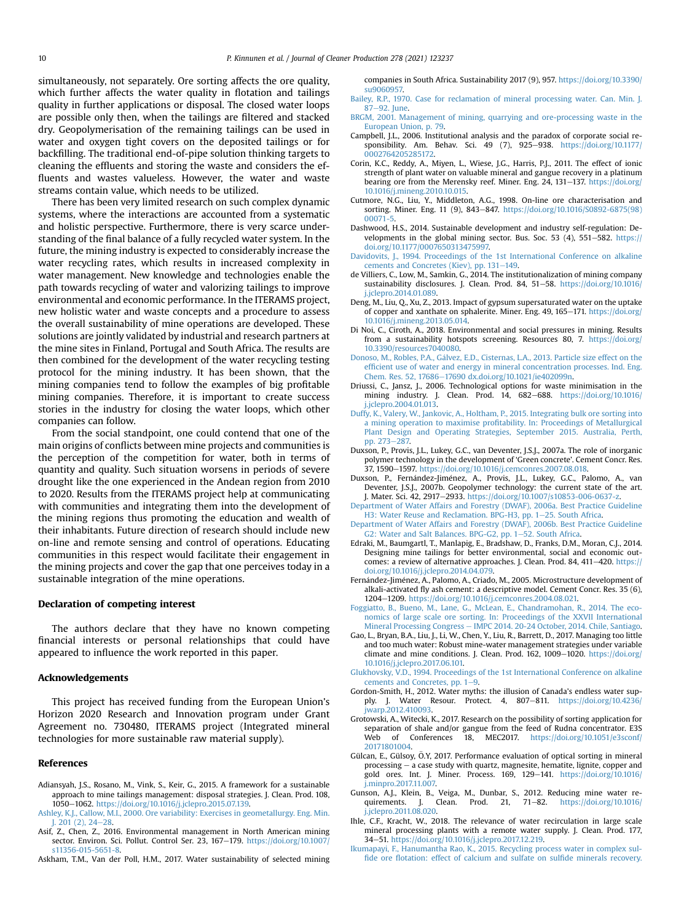simultaneously, not separately. Ore sorting affects the ore quality, which further affects the water quality in flotation and tailings quality in further applications or disposal. The closed water loops are possible only then, when the tailings are filtered and stacked dry. Geopolymerisation of the remaining tailings can be used in water and oxygen tight covers on the deposited tailings or for backfilling. The traditional end-of-pipe solution thinking targets to cleaning the effluents and storing the waste and considers the effluents and wastes valueless. However, the water and waste streams contain value, which needs to be utilized.

There has been very limited research on such complex dynamic systems, where the interactions are accounted from a systematic and holistic perspective. Furthermore, there is very scarce understanding of the final balance of a fully recycled water system. In the future, the mining industry is expected to considerably increase the water recycling rates, which results in increased complexity in water management. New knowledge and technologies enable the path towards recycling of water and valorizing tailings to improve environmental and economic performance. In the ITERAMS project, new holistic water and waste concepts and a procedure to assess the overall sustainability of mine operations are developed. These solutions are jointly validated by industrial and research partners at the mine sites in Finland, Portugal and South Africa. The results are then combined for the development of the water recycling testing protocol for the mining industry. It has been shown, that the mining companies tend to follow the examples of big profitable mining companies. Therefore, it is important to create success stories in the industry for closing the water loops, which other companies can follow.

From the social standpoint, one could contend that one of the main origins of conflicts between mine projects and communities is the perception of the competition for water, both in terms of quantity and quality. Such situation worsens in periods of severe drought like the one experienced in the Andean region from 2010 to 2020. Results from the ITERAMS project help at communicating with communities and integrating them into the development of the mining regions thus promoting the education and wealth of their inhabitants. Future direction of research should include new on-line and remote sensing and control of operations. Educating communities in this respect would facilitate their engagement in the mining projects and cover the gap that one perceives today in a sustainable integration of the mine operations.

#### Declaration of competing interest

The authors declare that they have no known competing financial interests or personal relationships that could have appeared to influence the work reported in this paper.

#### Acknowledgements

This project has received funding from the European Union's Horizon 2020 Research and Innovation program under Grant Agreement no. 730480, ITERAMS project (Integrated mineral technologies for more sustainable raw material supply).

#### References

- Adiansyah, J.S., Rosano, M., Vink, S., Keir, G., 2015. A framework for a sustainable approach to mine tailings management: disposal strategies. J. Clean. Prod. 108, 1050e1062. <https://doi.org/10.1016/j.jclepro.2015.07.139>.
- [Ashley, K.J., Callow, M.I., 2000. Ore variability: Exercises in geometallurgy. Eng. Min.](http://refhub.elsevier.com/S0959-6526(20)33282-0/sref2) 201 (2), 24-[28](http://refhub.elsevier.com/S0959-6526(20)33282-0/sref2).
- Asif, Z., Chen, Z., 2016. Environmental management in North American mining sector. Environ. Sci. Pollut. Control Ser. 23, 167-179. [https://doi.org/10.1007/](https://doi.org/10.1007/s11356-015-5651-8) [s11356-015-5651-8.](https://doi.org/10.1007/s11356-015-5651-8)
- Askham, T.M., Van der Poll, H.M., 2017. Water sustainability of selected mining

companies in South Africa. Sustainability 2017 (9), 957. [https://doi.org/10.3390/](https://doi.org/10.3390/su9060957) [su9060957.](https://doi.org/10.3390/su9060957)

- [Bailey, R.P., 1970. Case for reclamation of mineral processing water. Can. Min. J.](http://refhub.elsevier.com/S0959-6526(20)33282-0/sref5) [87](http://refhub.elsevier.com/S0959-6526(20)33282-0/sref5)-[92. June](http://refhub.elsevier.com/S0959-6526(20)33282-0/sref5).
- [BRGM, 2001. Management of mining, quarrying and ore-processing waste in the](http://refhub.elsevier.com/S0959-6526(20)33282-0/sref6) [European Union, p. 79.](http://refhub.elsevier.com/S0959-6526(20)33282-0/sref6)
- Campbell, J.L., 2006. Institutional analysis and the paradox of corporate social responsibility. Am. Behav. Sci. 49 (7), 925–938. [https://doi.org/10.1177/](https://doi.org/10.1177/0002764205285172) [0002764205285172](https://doi.org/10.1177/0002764205285172).
- Corin, K.C., Reddy, A., Miyen, L., Wiese, J.G., Harris, P.J., 2011. The effect of ionic strength of plant water on valuable mineral and gangue recovery in a platinum bearing ore from the Merensky reef. Miner. Eng. 24, 131-137. [https://doi.org/](https://doi.org/10.1016/j.mineng.2010.10.015) [10.1016/j.mineng.2010.10.015.](https://doi.org/10.1016/j.mineng.2010.10.015)
- Cutmore, N.G., Liu, Y., Middleton, A.G., 1998. On-line ore characterisation and sorting. Miner. Eng. 11 (9), 843-847. [https://doi.org/10.1016/S0892-6875\(98\)](https://doi.org/10.1016/S0892-6875(98)00071-5) [00071-5](https://doi.org/10.1016/S0892-6875(98)00071-5).
- Dashwood, H.S., 2014. Sustainable development and industry self-regulation: Developments in the global mining sector. Bus. Soc. 53  $(4)$ , 551–582. [https://](https://doi.org/10.1177/0007650313475997) [doi.org/10.1177/0007650313475997.](https://doi.org/10.1177/0007650313475997)
- [Davidovits, J., 1994. Proceedings of the 1st International Conference on alkaline](http://refhub.elsevier.com/S0959-6526(20)33282-0/sref11) [cements and Concretes \(Kiev\), pp. 131](http://refhub.elsevier.com/S0959-6526(20)33282-0/sref11)-[149.](http://refhub.elsevier.com/S0959-6526(20)33282-0/sref11)
- de Villiers, C., Low, M., Samkin, G., 2014. The institutionalization of mining company sustainability disclosures. J. Clean. Prod. 84, 51-58. [https://doi.org/10.1016/](https://doi.org/10.1016/j.jclepro.2014.01.089) [j.jclepro.2014.01.089](https://doi.org/10.1016/j.jclepro.2014.01.089).
- Deng, M., Liu, Q., Xu, Z., 2013. Impact of gypsum supersaturated water on the uptake of copper and xanthate on sphalerite. Miner. Eng.  $49, 165-171$ . [https://doi.org/](https://doi.org/10.1016/j.mineng.2013.05.014) [10.1016/j.mineng.2013.05.014](https://doi.org/10.1016/j.mineng.2013.05.014).
- Di Noi, C., Ciroth, A., 2018. Environmental and social pressures in mining. Results from a sustainability hotspots screening. Resources 80, 7. [https://doi.org/](https://doi.org/10.3390/resources7040080) [10.3390/resources7040080](https://doi.org/10.3390/resources7040080).
- [Donoso, M., Robles, P.A., G](http://refhub.elsevier.com/S0959-6526(20)33282-0/sref15)álvez, E.D., Cisternas, L.A., 2013. Particle size effect on the effi[cient use of water and energy in mineral concentration processes. Ind. Eng.](http://refhub.elsevier.com/S0959-6526(20)33282-0/sref15) [Chem. Res. 52, 17686](http://refhub.elsevier.com/S0959-6526(20)33282-0/sref15)-[17690 dx.doi.org/10.1021/ie402099n.](http://refhub.elsevier.com/S0959-6526(20)33282-0/sref15)
- Driussi, C., Jansz, J., 2006. Technological options for waste minimisation in the mining industry. J. Clean. Prod. 14, 682-688. [https://doi.org/10.1016/](https://doi.org/10.1016/j.jclepro.2004.01.013) [j.jclepro.2004.01.013.](https://doi.org/10.1016/j.jclepro.2004.01.013)
- [Duffy, K., Valery, W., Jankovic, A., Holtham, P., 2015. Integrating bulk ore sorting into](http://refhub.elsevier.com/S0959-6526(20)33282-0/sref17) a mining operation to maximise profi[tability. In: Proceedings of Metallurgical](http://refhub.elsevier.com/S0959-6526(20)33282-0/sref17) [Plant Design and Operating Strategies, September 2015. Australia, Perth,](http://refhub.elsevier.com/S0959-6526(20)33282-0/sref17) [pp. 273](http://refhub.elsevier.com/S0959-6526(20)33282-0/sref17)-[287.](http://refhub.elsevier.com/S0959-6526(20)33282-0/sref17)
- Duxson, P., Provis, J.L., Lukey, G.C., van Deventer, J.S.J., 2007a. The role of inorganic polymer technology in the development of 'Green concrete'. Cement Concr. Res. 37, 1590-1597. <https://doi.org/10.1016/j.cemconres.2007.08.018>.
- Duxson, P., Fernández-Jiménez, A., Provis, J.L., Lukey, G.C., Palomo, A. Deventer, J.S.J., 2007b. Geopolymer technology: the current state of the art. J. Mater. Sci. 42, 2917-2933. <https://doi.org/10.1007/s10853-006-0637-z>
- [Department of Water Affairs and Forestry \(DWAF\), 2006a. Best Practice Guideline](http://refhub.elsevier.com/S0959-6526(20)33282-0/sref20) [H3: Water Reuse and Reclamation. BPG-H3, pp. 1](http://refhub.elsevier.com/S0959-6526(20)33282-0/sref20)-[25. South Africa.](http://refhub.elsevier.com/S0959-6526(20)33282-0/sref20)
- [Department of Water Affairs and Forestry \(DWAF\), 2006b. Best Practice Guideline](http://refhub.elsevier.com/S0959-6526(20)33282-0/sref21) [G2: Water and Salt Balances. BPG-G2, pp. 1](http://refhub.elsevier.com/S0959-6526(20)33282-0/sref21)-[52. South Africa](http://refhub.elsevier.com/S0959-6526(20)33282-0/sref21).
- Edraki, M., Baumgartl, T., Manlapig, E., Bradshaw, D., Franks, D.M., Moran, C.J., 2014. Designing mine tailings for better environmental, social and economic outcomes: a review of alternative approaches. J. Clean. Prod. 84, 411-420. [https://](https://doi.org/10.1016/j.jclepro.2014.04.079) [doi.org/10.1016/j.jclepro.2014.04.079](https://doi.org/10.1016/j.jclepro.2014.04.079).
- Fernández-Jiménez, A., Palomo, A., Criado, M., 2005. Microstructure development of alkali-activated fly ash cement: a descriptive model. Cement Concr. Res. 35 (6), 1204-1209. [https://doi.org/10.1016/j.cemconres.2004.08.021.](https://doi.org/10.1016/j.cemconres.2004.08.021)
- [Foggiatto, B., Bueno, M., Lane, G., McLean, E., Chandramohan, R., 2014. The eco](http://refhub.elsevier.com/S0959-6526(20)33282-0/sref24)[nomics of large scale ore sorting. In: Proceedings of the XXVII International](http://refhub.elsevier.com/S0959-6526(20)33282-0/sref24) [Mineral Processing Congress](http://refhub.elsevier.com/S0959-6526(20)33282-0/sref24) e [IMPC 2014. 20-24 October, 2014. Chile, Santiago](http://refhub.elsevier.com/S0959-6526(20)33282-0/sref24).
- Gao, L., Bryan, B.A., Liu, J., Li, W., Chen, Y., Liu, R., Barrett, D., 2017. Managing too little and too much water: Robust mine-water management strategies under variable climate and mine conditions. J. Clean. Prod. 162, 1009-1020. [https://doi.org/](https://doi.org/10.1016/j.jclepro.2017.06.101) [10.1016/j.jclepro.2017.06.101.](https://doi.org/10.1016/j.jclepro.2017.06.101)
- [Glukhovsky, V.D., 1994. Proceedings of the 1st International Conference on alkaline](http://refhub.elsevier.com/S0959-6526(20)33282-0/sref26) [cements and Concretes, pp. 1](http://refhub.elsevier.com/S0959-6526(20)33282-0/sref26)-[9](http://refhub.elsevier.com/S0959-6526(20)33282-0/sref26).
- Gordon-Smith, H., 2012. Water myths: the illusion of Canada's endless water supply. J. Water Resour. Protect. 4, 807-811. [https://doi.org/10.4236/](https://doi.org/10.4236/jwarp.2012.410093) [jwarp.2012.410093](https://doi.org/10.4236/jwarp.2012.410093).
- Grotowski, A., Witecki, K., 2017. Research on the possibility of sorting application for separation of shale and/or gangue from the feed of Rudna concentrator. E3S<br>Web of Conferences 18, MEC2017. https://doi.org/10.1051/e3sconf/ MEC2017. [https://doi.org/10.1051/e3sconf/](https://doi.org/10.1051/e3sconf/20171801004) [20171801004.](https://doi.org/10.1051/e3sconf/20171801004)
- Gülcan, E., Gülsoy, Ö.Y, 2017. Performance evaluation of optical sorting in mineral processing - a case study with quartz, magnesite, hematite, lignite, copper and gold ores. Int. J. Miner. Process. 169, 129-141. [https://doi.org/10.1016/](https://doi.org/10.1016/j.minpro.2017.11.007) [j.minpro.2017.11.007.](https://doi.org/10.1016/j.minpro.2017.11.007)
- Gunson, A.J., Klein, B., Veiga, M., Dunbar, S., 2012. Reducing mine water re-<br>quirements. J. Clean. Prod. 21, 71–82. https://doi.org/10.1016/ J. Clean. Prod. 21,  $71-82$ . [https://doi.org/10.1016/](https://doi.org/10.1016/j.jclepro.2011.08.020) [j.jclepro.2011.08.020](https://doi.org/10.1016/j.jclepro.2011.08.020).
- Ihle, C.F., Kracht, W., 2018. The relevance of water recirculation in large scale mineral processing plants with a remote water supply. J. Clean. Prod. 177, 34-51. <https://doi.org/10.1016/j.jclepro.2017.12.219>.
- [Ikumapayi, F., Hanumantha Rao, K., 2015. Recycling process water in complex sul](http://refhub.elsevier.com/S0959-6526(20)33282-0/sref32)fide ore fl[otation: effect of calcium and sulfate on sul](http://refhub.elsevier.com/S0959-6526(20)33282-0/sref32)fide minerals recovery.